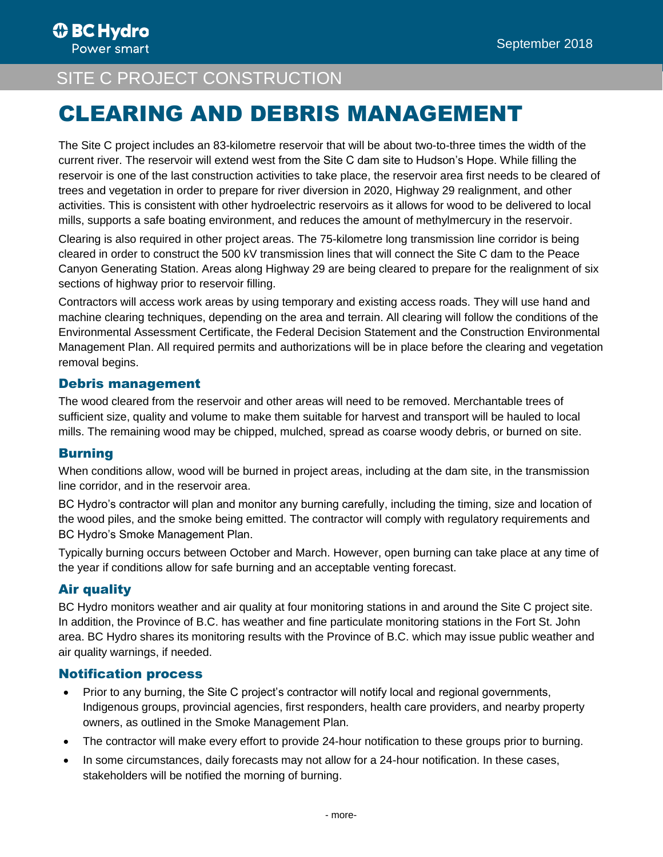# **SITE C PROJECT CONSTRUCTION**

# CLEARING AND DEBRIS MANAGEMENT

The Site C project includes an 83-kilometre reservoir that will be about two-to-three times the width of the current river. The reservoir will extend west from the Site C dam site to Hudson's Hope. While filling the reservoir is one of the last construction activities to take place, the reservoir area first needs to be cleared of trees and vegetation in order to prepare for river diversion in 2020, Highway 29 realignment, and other activities. This is consistent with other hydroelectric reservoirs as it allows for wood to be delivered to local mills, supports a safe boating environment, and reduces the amount of methylmercury in the reservoir.

Clearing is also required in other project areas. The 75-kilometre long transmission line corridor is being cleared in order to construct the 500 kV transmission lines that will connect the Site C dam to the Peace Canyon Generating Station. Areas along Highway 29 are being cleared to prepare for the realignment of six sections of highway prior to reservoir filling.

Contractors will access work areas by using temporary and existing access roads. They will use hand and machine clearing techniques, depending on the area and terrain. All clearing will follow the conditions of the Environmental Assessment Certificate, the Federal Decision Statement and the Construction Environmental Management Plan. All required permits and authorizations will be in place before the clearing and vegetation removal begins.

## Debris management

The wood cleared from the reservoir and other areas will need to be removed. Merchantable trees of sufficient size, quality and volume to make them suitable for harvest and transport will be hauled to local mills. The remaining wood may be chipped, mulched, spread as coarse woody debris, or burned on site.

## Burning

When conditions allow, wood will be burned in project areas, including at the dam site, in the transmission line corridor, and in the reservoir area.

BC Hydro's contractor will plan and monitor any burning carefully, including the timing, size and location of the wood piles, and the smoke being emitted. The contractor will comply with regulatory requirements and BC Hydro's Smoke Management Plan.

Typically burning occurs between October and March. However, open burning can take place at any time of the year if conditions allow for safe burning and an acceptable venting forecast.

## Air quality

BC Hydro monitors weather and air quality at four monitoring stations in and around the Site C project site. In addition, the Province of B.C. has weather and fine particulate monitoring stations in the Fort St. John area. BC Hydro shares its monitoring results with the Province of B.C. which may issue public weather and air quality warnings, if needed.

#### Notification process

- Prior to any burning, the Site C project's contractor will notify local and regional governments, Indigenous groups, provincial agencies, first responders, health care providers, and nearby property owners, as outlined in the Smoke Management Plan.
- The contractor will make every effort to provide 24-hour notification to these groups prior to burning.
- In some circumstances, daily forecasts may not allow for a 24-hour notification. In these cases, stakeholders will be notified the morning of burning.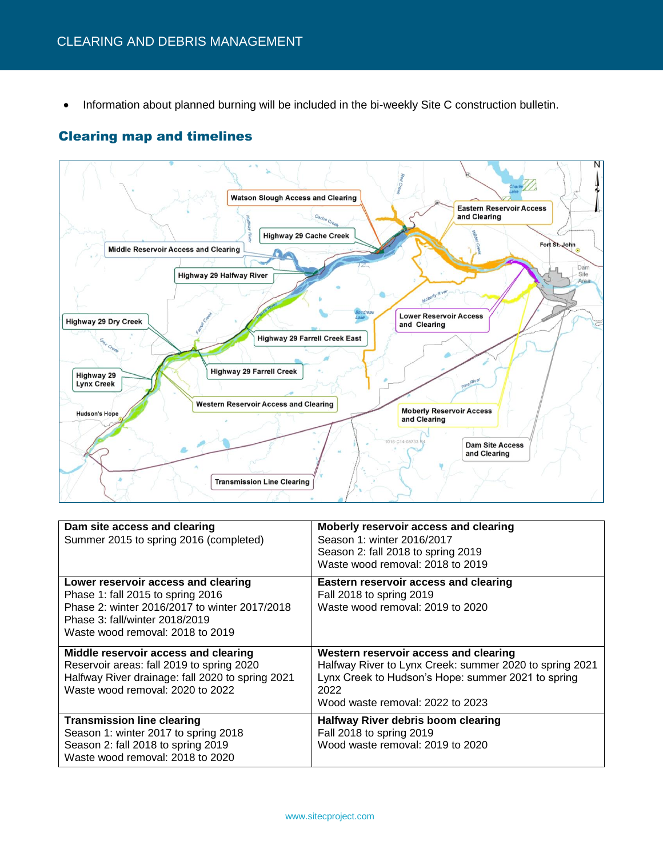• Information about planned burning will be included in the bi-weekly Site C construction bulletin.

#### Clearing map and timelines



| Dam site access and clearing<br>Summer 2015 to spring 2016 (completed)                                                                                                                          | Moberly reservoir access and clearing<br>Season 1: winter 2016/2017<br>Season 2: fall 2018 to spring 2019<br>Waste wood removal: 2018 to 2019                                                      |
|-------------------------------------------------------------------------------------------------------------------------------------------------------------------------------------------------|----------------------------------------------------------------------------------------------------------------------------------------------------------------------------------------------------|
| Lower reservoir access and clearing<br>Phase 1: fall 2015 to spring 2016<br>Phase 2: winter 2016/2017 to winter 2017/2018<br>Phase 3: fall/winter 2018/2019<br>Waste wood removal: 2018 to 2019 | Eastern reservoir access and clearing<br>Fall 2018 to spring 2019<br>Waste wood removal: 2019 to 2020                                                                                              |
| Middle reservoir access and clearing<br>Reservoir areas: fall 2019 to spring 2020<br>Halfway River drainage: fall 2020 to spring 2021<br>Waste wood removal: 2020 to 2022                       | Western reservoir access and clearing<br>Halfway River to Lynx Creek: summer 2020 to spring 2021<br>Lynx Creek to Hudson's Hope: summer 2021 to spring<br>2022<br>Wood waste removal: 2022 to 2023 |
| <b>Transmission line clearing</b><br>Season 1: winter 2017 to spring 2018<br>Season 2: fall 2018 to spring 2019<br>Waste wood removal: 2018 to 2020                                             | Halfway River debris boom clearing<br>Fall 2018 to spring 2019<br>Wood waste removal: 2019 to 2020                                                                                                 |